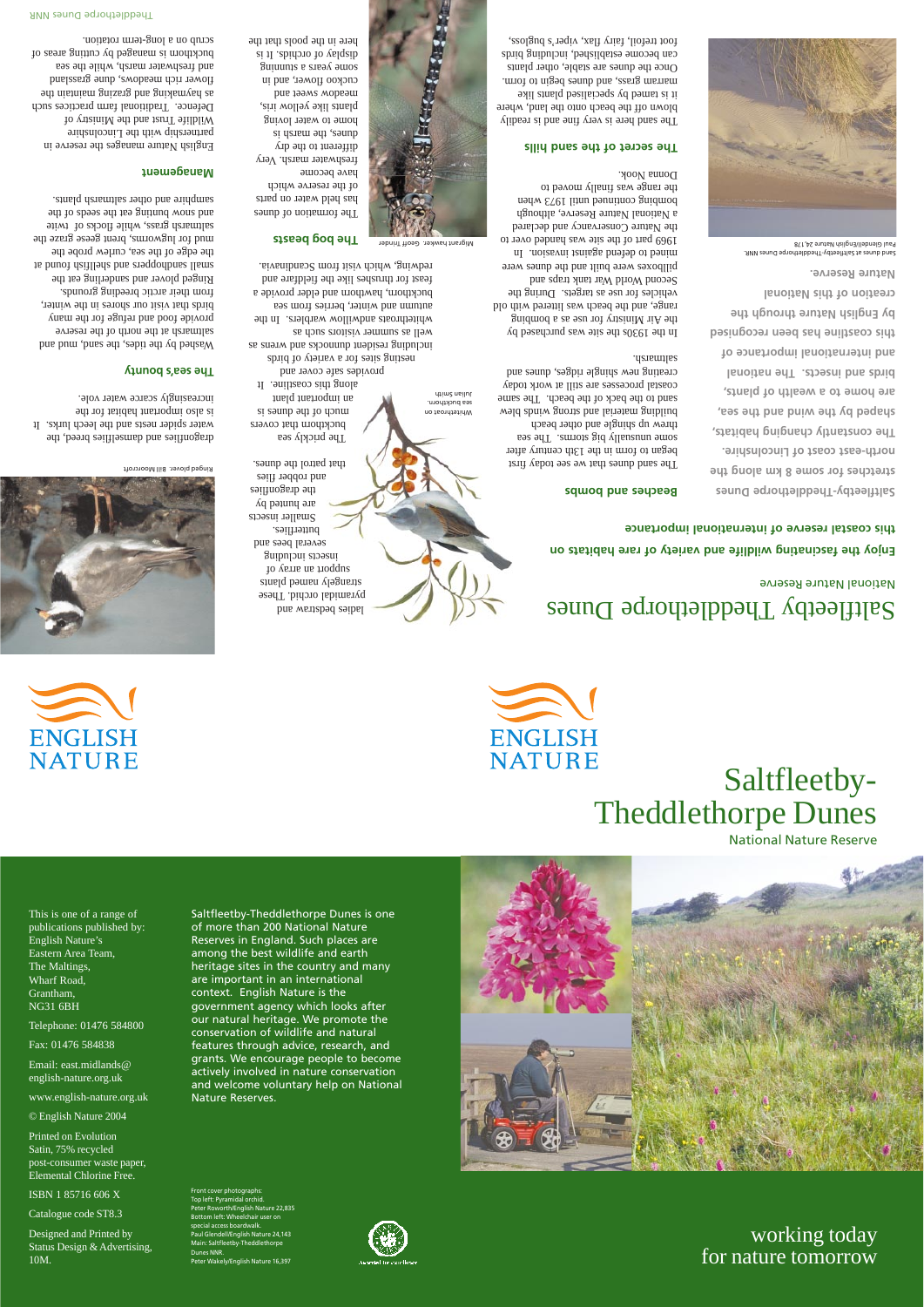# Saltfleetby-Theddlethorpe Dunes National Nature Reserve





working today for nature tomorrow

This is one of a range of publications published by: English Nature's Eastern Area Team, The Maltings, Wharf Road,

Grantham, NG31 6BH

Telephone: 01476 584800

Fax: 01476 584838

Front cover photographs: Top left: Pyramidal orchid. Peter Roworth/English Nature 22,835 Bottom left: Wheelchair user on pecial access boardwalk.

Email: east.midlands@ english-nature.org.uk

www.english-nature.org.uk

© English Nature 2004

ndell/English Nature 24,143 Main: Saltfleetby-Theddlethorpe





Printed on Evolution Satin, 75% recycled post-consumer waste paper, Elemental Chlorine Free.

ISBN 1 85716 606 X

Catalogue code ST8.3

Designed and Printed by Status Design & Advertising, 10M.

Dunes NNR.

Peter Wakely/English Nature 16,397

Saltfleetby-Theddlethorpe Dunes is one of more than 200 National Nature Reserves in England. Such places are among the best wildlife and earth heritage sites in the country and many are important in an international



context. English Nature is the government agency which looks after our natural heritage. We promote the conservation of wildlife and natural features through advice, research, and grants. We encourage people to become actively involved in nature conservation and welcome voluntary help on National Nature Reserves.

# Saltfleetby Theddlethorpe Dunes National Nature Reserve

**Enjoy the fascinating wildlife and variety of rare habitats on this coastal reserve of international importance**



**Saltfleetby-Theddlethorpe Dunes stretches for some 8 km along the north-east coast of Lincolnshire. The constantly changing habitats, shaped by the wind and the sea, are home to a wealth of plants, birds and insects. The national and international importance of this coastline has been recognised by English Nature through the creation of this National Nature Reserve.**

Washed by the tides, the sand, mud and saltmarsh at the north of the reserve provide food and refuge for the many birds that visit our shores in the winter, from their arctic breeding grounds. Ringed plover and sanderling eat the small sandhoppers and shellfish found at the edge of the sea, curlew probe the mud for lugworms, brent geese graze the saltmarsh grass, while flocks of twite and snow puning eat the seeds of the samphire and other saltmarsh plants.

### **Beaches and bombs**

The sand dunes that we see today first began to form in the 13th century after some unusually big storms. The sea threw up shingle and other beach building material and strong winds blew sand to the back of the beach. The same coastal processes are still at work today creating new shingle ridges, dunes and saltmarsh.

In the 1930s the site was purchased by the Air Ministry for use as a bombing range, and the beach was littered with old vehicles for use as targets. During the Second World War tank traps and pillboxes were built and the dunes were mined to defend against invasion. In 1969 part of the site was handed over to the Nature Conservancy and declared a National Nature Reserve, although bombing continue parameter and usual the range was finally moved to Donna Nook.

Whitethroat on sea buckthorn. Julian Smith

### **The secret of the sand hills**

The sand here is very fine and is readily blown off the beach onto the land, where it is tamed by specialised plants like marram grass, and dunes begin to form. Once the dunes are stable, other plants can become established, including birds foot trefoil, fairy flax, viper's bugloss,

dragonflies and damselflies breed, the water spider nests and the leech lurks. It is also important habitat for the increasingly scarce water vole.

### **The sea's bounty**

### **Management**

English Nature manages the reserve in partnership with the Lincolnshire Wildlife Trust and the Ministry of Defence. Traditional farm practices such ad nistnism grazing bas guidenved as flower rich meadows, dune grassland and freshwater marsh, while the sea buckthorn is managed by cutting areas of scrub on a long-term rotation.

> Sand dunes at Saltfleetby-Theddlethorpe Dunes NNR. Paul Glendell/English Nature 24,178



Ringed plover. Bill Moorcroft

ladies bedstraw and pyramidal orchid. These strangely named plants support an array of insects including several bees and butterflies. Smaller insects are punted by the dragonflies and robber flies that patrol the dunes.

The prickly sea buckthorn that covers si sanup aqi to daun an important plant along this coastline. It provides safe cover and

nesting sites for a variety of birds including resident dunnocks and wrens as well as summer visitors such as whitethroats andwillow warblers. In the autumn and winter, berries from sea buckthorn, hawthorn and elder provide a feast for thrushes like the fieldfare and redwing, which visit from Scandinavia.

The formation of dunes has held water on parts of the reserve which have become

#### **The bog beasts** Migrant hawker. Geoff Trinder

freshwater marsh. Very different to the dry dunes, the marsh is home to water loving plants like yellow iris, meadow sweet and cuckoo flower, and in some years a stunning display of orchids. It is here in the pools that the